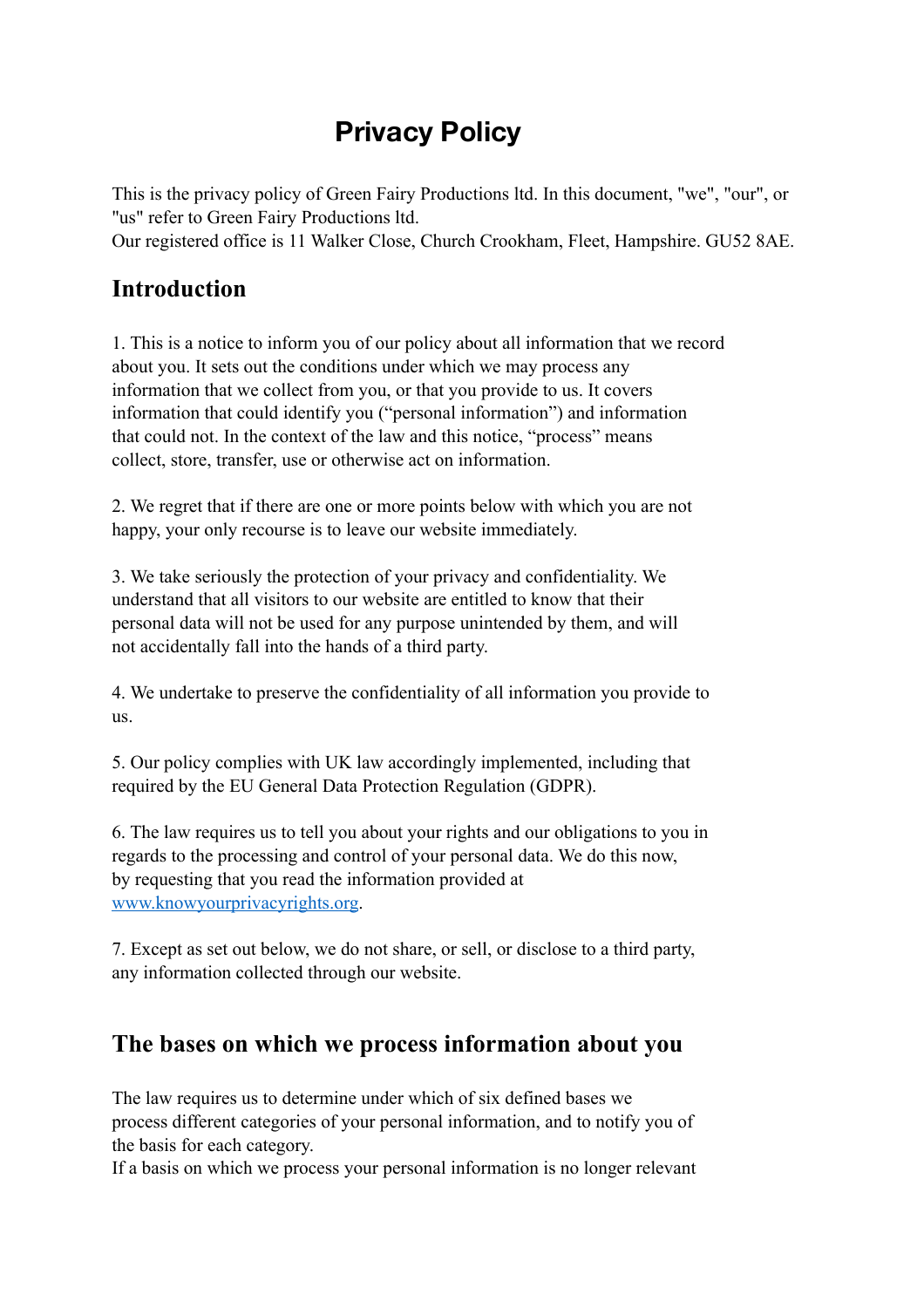# **Privacy Policy**

This is the privacy policy of Green Fairy Productions ltd. In this document, "we", "our", or "us" refer to Green Fairy Productions ltd. Our registered office is 11 Walker Close, Church Crookham, Fleet, Hampshire. GU52 8AE.

#### **Introduction**

1. This is a notice to inform you of our policy about all information that we record about you. It sets out the conditions under which we may process any information that we collect from you, or that you provide to us. It covers information that could identify you ("personal information") and information that could not. In the context of the law and this notice, "process" means collect, store, transfer, use or otherwise act on information.

2. We regret that if there are one or more points below with which you are not happy, your only recourse is to leave our website immediately.

3. We take seriously the protection of your privacy and confidentiality. We understand that all visitors to our website are entitled to know that their personal data will not be used for any purpose unintended by them, and will not accidentally fall into the hands of a third party.

4. We undertake to preserve the confidentiality of all information you provide to us.

5. Our policy complies with UK law accordingly implemented, including that required by the EU General Data Protection Regulation (GDPR).

6. The law requires us to tell you about your rights and our obligations to you in regards to the processing and control of your personal data. We do this now, by requesting that you read the information provided at [www.knowyourprivacyrights.org.](http://www.knowyourprivacyrights.org)

7. Except as set out below, we do not share, or sell, or disclose to a third party, any information collected through our website.

#### **The bases on which we process information about you**

The law requires us to determine under which of six defined bases we process different categories of your personal information, and to notify you of the basis for each category.

If a basis on which we process your personal information is no longer relevant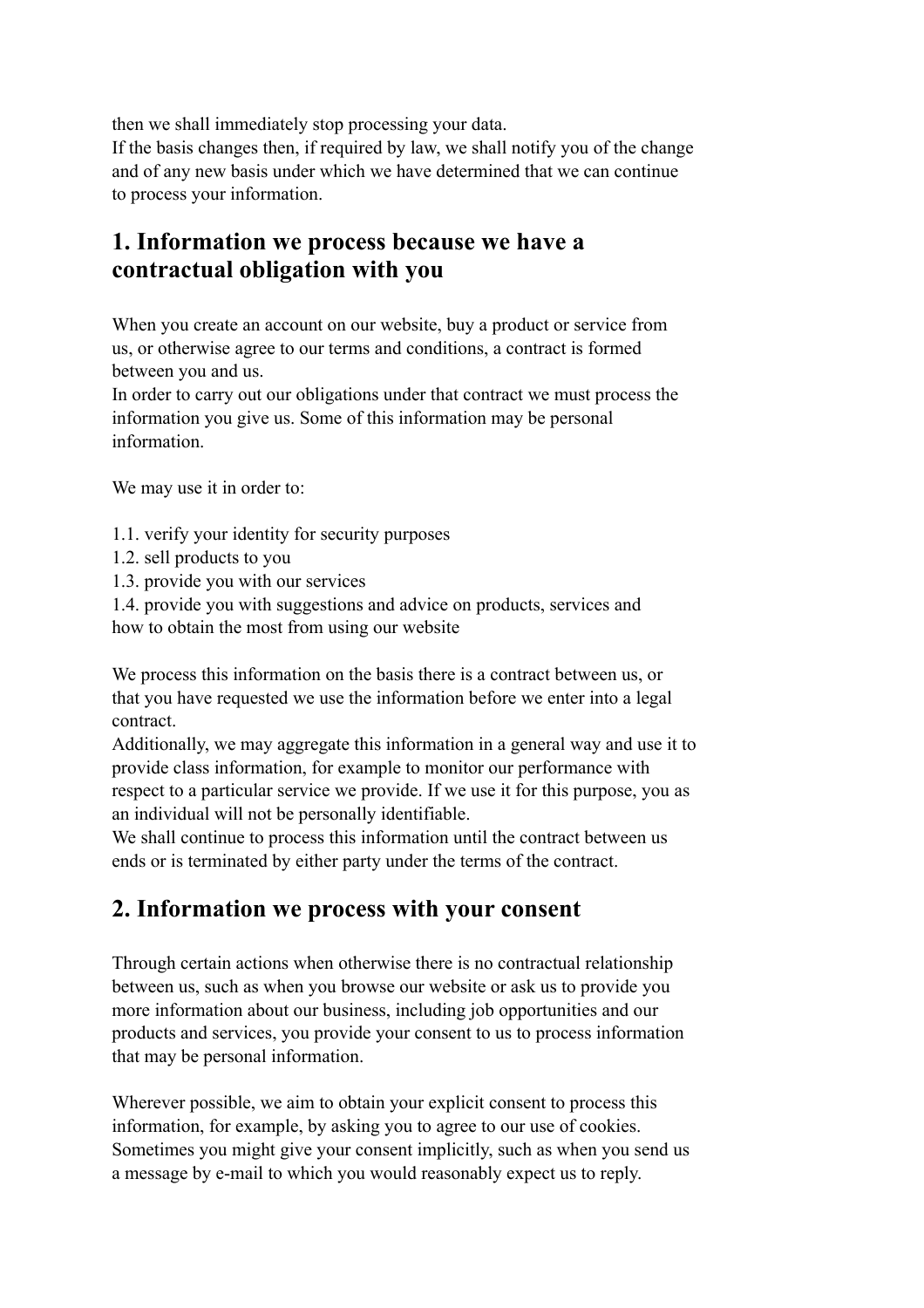then we shall immediately stop processing your data.

If the basis changes then, if required by law, we shall notify you of the change and of any new basis under which we have determined that we can continue to process your information.

#### **1. Information we process because we have a contractual obligation with you**

When you create an account on our website, buy a product or service from us, or otherwise agree to our terms and conditions, a contract is formed between you and us.

In order to carry out our obligations under that contract we must process the information you give us. Some of this information may be personal information.

We may use it in order to:

- 1.1. verify your identity for security purposes
- 1.2. sell products to you
- 1.3. provide you with our services

1.4. provide you with suggestions and advice on products, services and how to obtain the most from using our website

We process this information on the basis there is a contract between us, or that you have requested we use the information before we enter into a legal contract.

Additionally, we may aggregate this information in a general way and use it to provide class information, for example to monitor our performance with respect to a particular service we provide. If we use it for this purpose, you as an individual will not be personally identifiable.

We shall continue to process this information until the contract between us ends or is terminated by either party under the terms of the contract.

#### **2. Information we process with your consent**

Through certain actions when otherwise there is no contractual relationship between us, such as when you browse our website or ask us to provide you more information about our business, including job opportunities and our products and services, you provide your consent to us to process information that may be personal information.

Wherever possible, we aim to obtain your explicit consent to process this information, for example, by asking you to agree to our use of cookies. Sometimes you might give your consent implicitly, such as when you send us a message by e-mail to which you would reasonably expect us to reply.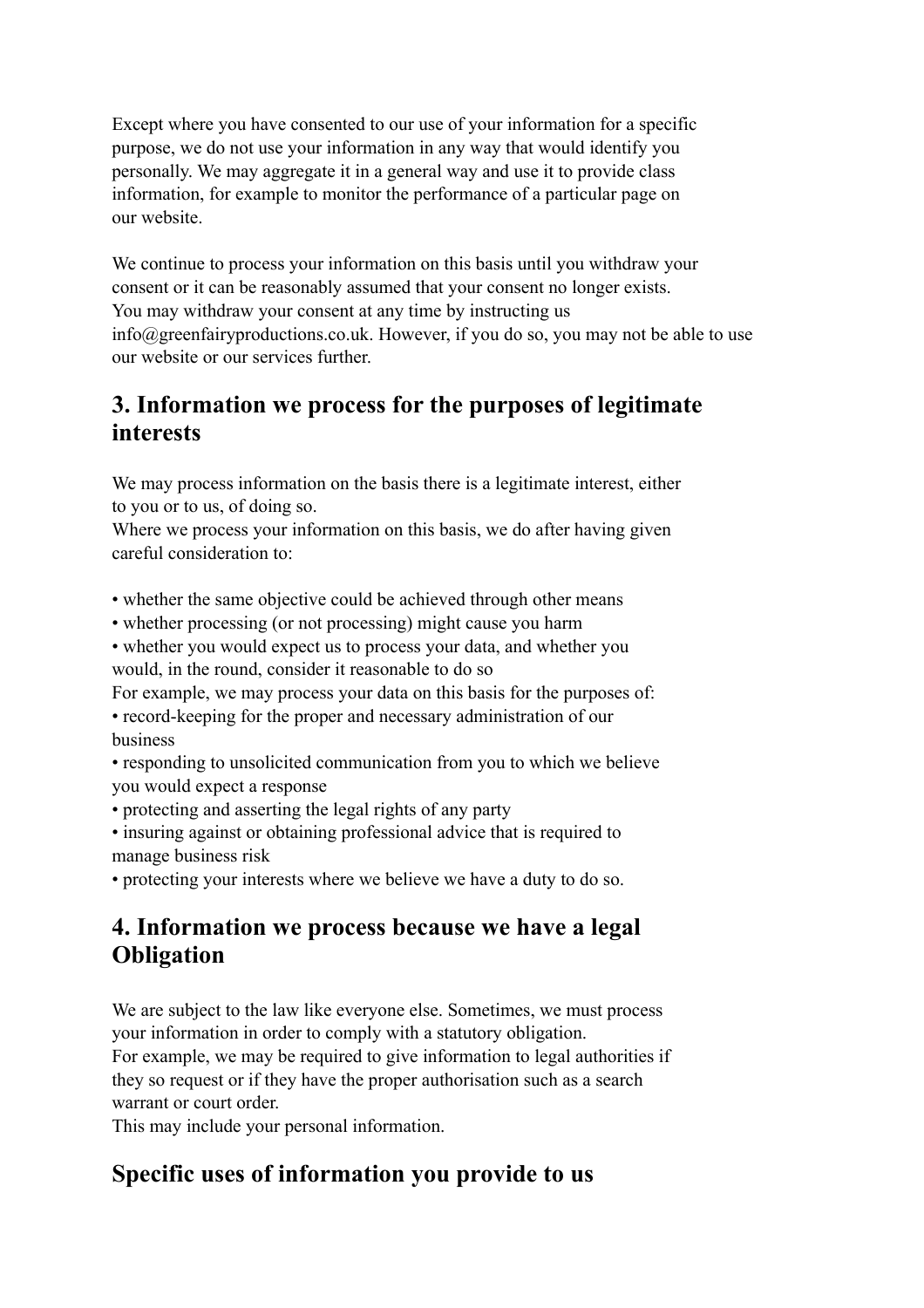Except where you have consented to our use of your information for a specific purpose, we do not use your information in any way that would identify you personally. We may aggregate it in a general way and use it to provide class information, for example to monitor the performance of a particular page on our website.

We continue to process your information on this basis until you withdraw your consent or it can be reasonably assumed that your consent no longer exists. You may withdraw your consent at any time by instructing us info@greenfairyproductions.co.uk. However, if you do so, you may not be able to use our website or our services further.

#### **3. Information we process for the purposes of legitimate interests**

We may process information on the basis there is a legitimate interest, either to you or to us, of doing so.

Where we process your information on this basis, we do after having given careful consideration to:

• whether the same objective could be achieved through other means

- whether processing (or not processing) might cause you harm
- whether you would expect us to process your data, and whether you would, in the round, consider it reasonable to do so

For example, we may process your data on this basis for the purposes of:

• record-keeping for the proper and necessary administration of our business

• responding to unsolicited communication from you to which we believe you would expect a response

• protecting and asserting the legal rights of any party

• insuring against or obtaining professional advice that is required to manage business risk

• protecting your interests where we believe we have a duty to do so.

### **4. Information we process because we have a legal Obligation**

We are subject to the law like everyone else. Sometimes, we must process your information in order to comply with a statutory obligation.

For example, we may be required to give information to legal authorities if they so request or if they have the proper authorisation such as a search warrant or court order.

This may include your personal information.

### **Specific uses of information you provide to us**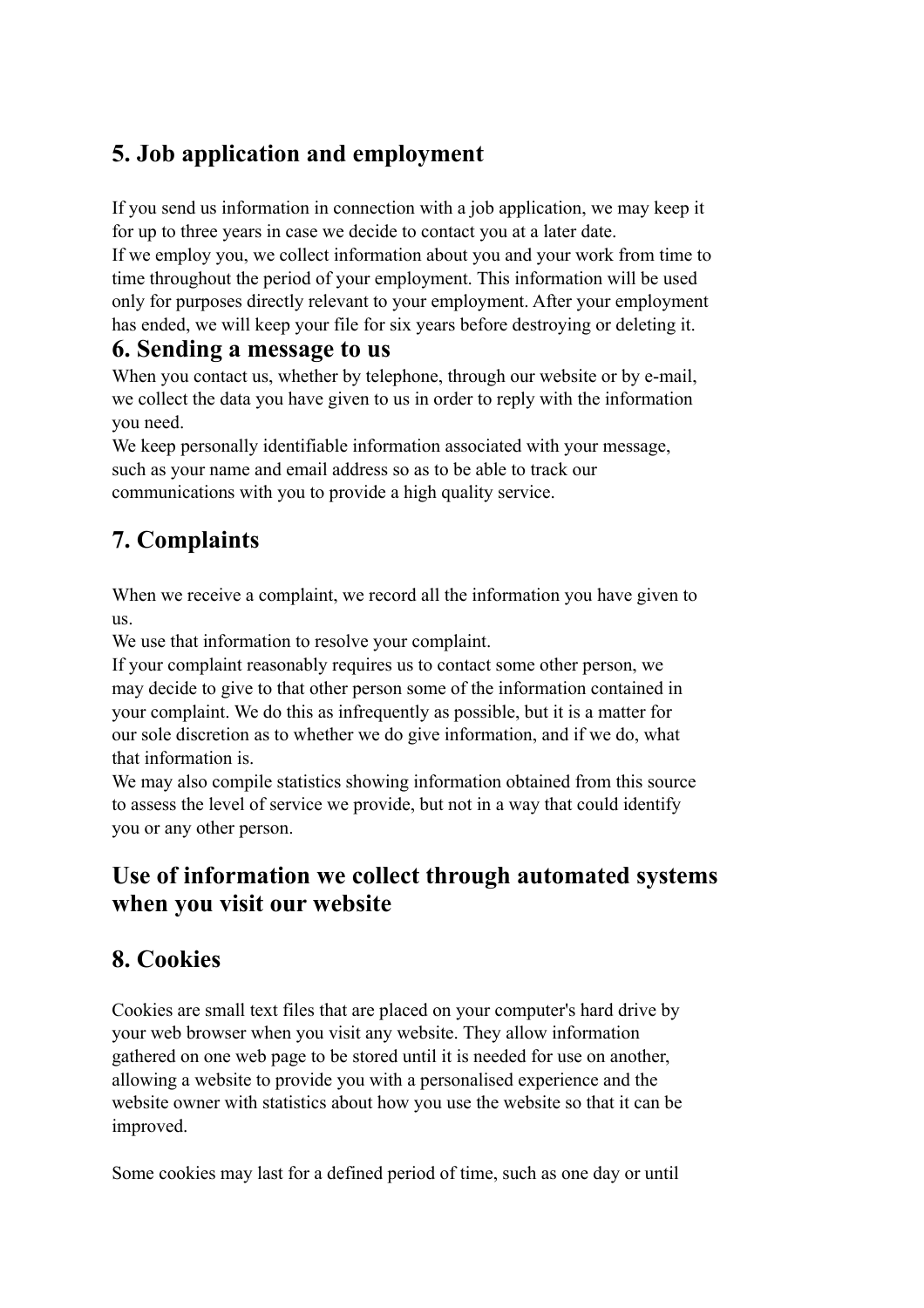### **5. Job application and employment**

If you send us information in connection with a job application, we may keep it for up to three years in case we decide to contact you at a later date.

If we employ you, we collect information about you and your work from time to time throughout the period of your employment. This information will be used only for purposes directly relevant to your employment. After your employment has ended, we will keep your file for six years before destroying or deleting it.

#### **6. Sending a message to us**

When you contact us, whether by telephone, through our website or by e-mail, we collect the data you have given to us in order to reply with the information you need.

We keep personally identifiable information associated with your message, such as your name and email address so as to be able to track our communications with you to provide a high quality service.

## **7. Complaints**

When we receive a complaint, we record all the information you have given to us.

We use that information to resolve your complaint.

If your complaint reasonably requires us to contact some other person, we may decide to give to that other person some of the information contained in your complaint. We do this as infrequently as possible, but it is a matter for our sole discretion as to whether we do give information, and if we do, what that information is.

We may also compile statistics showing information obtained from this source to assess the level of service we provide, but not in a way that could identify you or any other person.

#### **Use of information we collect through automated systems when you visit our website**

### **8. Cookies**

Cookies are small text files that are placed on your computer's hard drive by your web browser when you visit any website. They allow information gathered on one web page to be stored until it is needed for use on another, allowing a website to provide you with a personalised experience and the website owner with statistics about how you use the website so that it can be improved.

Some cookies may last for a defined period of time, such as one day or until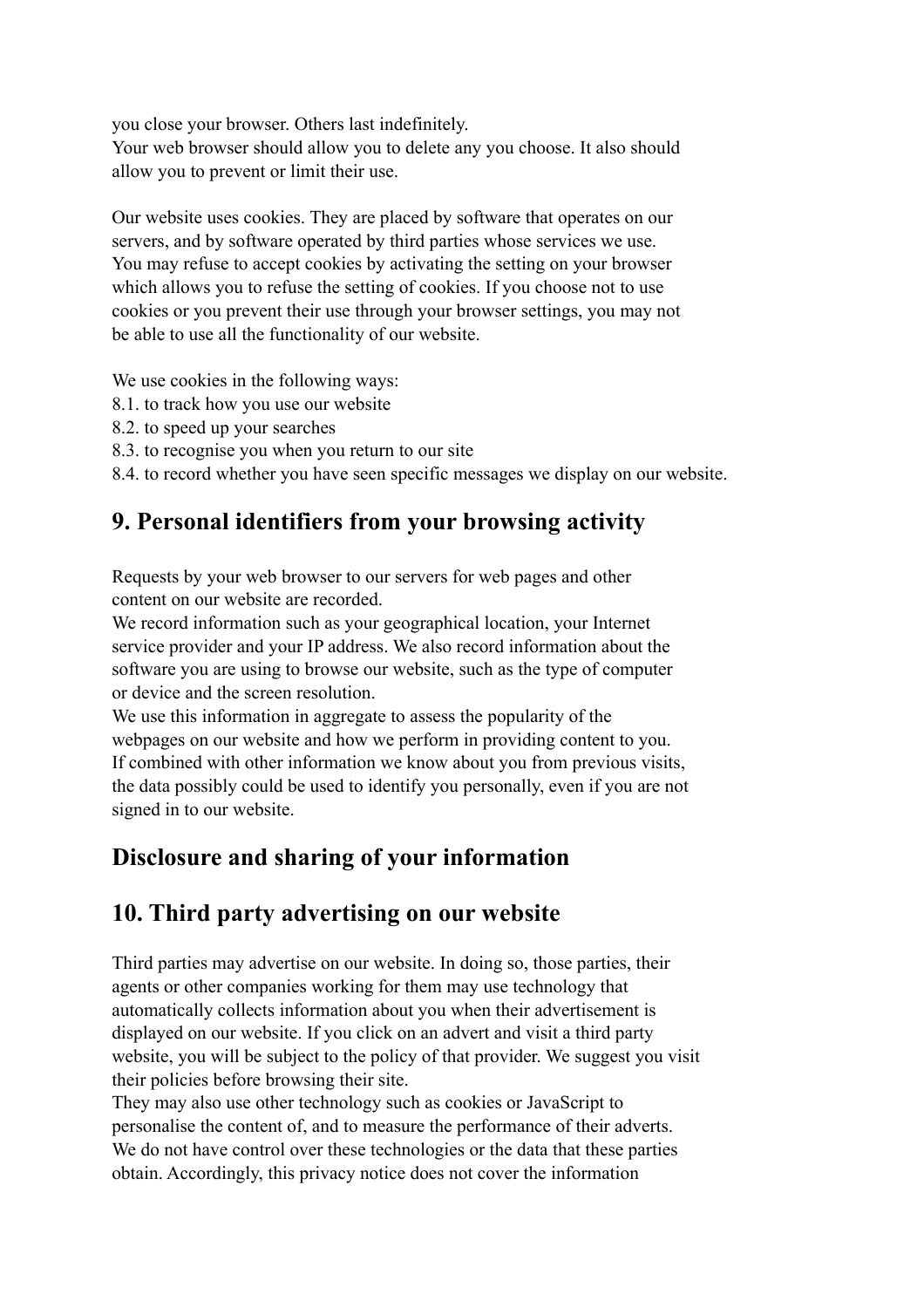you close your browser. Others last indefinitely.

Your web browser should allow you to delete any you choose. It also should allow you to prevent or limit their use.

Our website uses cookies. They are placed by software that operates on our servers, and by software operated by third parties whose services we use. You may refuse to accept cookies by activating the setting on your browser which allows you to refuse the setting of cookies. If you choose not to use cookies or you prevent their use through your browser settings, you may not be able to use all the functionality of our website.

We use cookies in the following ways:

- 8.1. to track how you use our website
- 8.2. to speed up your searches
- 8.3. to recognise you when you return to our site

8.4. to record whether you have seen specific messages we display on our website.

#### **9. Personal identifiers from your browsing activity**

Requests by your web browser to our servers for web pages and other content on our website are recorded.

We record information such as your geographical location, your Internet service provider and your IP address. We also record information about the software you are using to browse our website, such as the type of computer or device and the screen resolution.

We use this information in aggregate to assess the popularity of the webpages on our website and how we perform in providing content to you. If combined with other information we know about you from previous visits, the data possibly could be used to identify you personally, even if you are not signed in to our website.

#### **Disclosure and sharing of your information**

#### **10. Third party advertising on our website**

Third parties may advertise on our website. In doing so, those parties, their agents or other companies working for them may use technology that automatically collects information about you when their advertisement is displayed on our website. If you click on an advert and visit a third party website, you will be subject to the policy of that provider. We suggest you visit their policies before browsing their site.

They may also use other technology such as cookies or JavaScript to personalise the content of, and to measure the performance of their adverts. We do not have control over these technologies or the data that these parties obtain. Accordingly, this privacy notice does not cover the information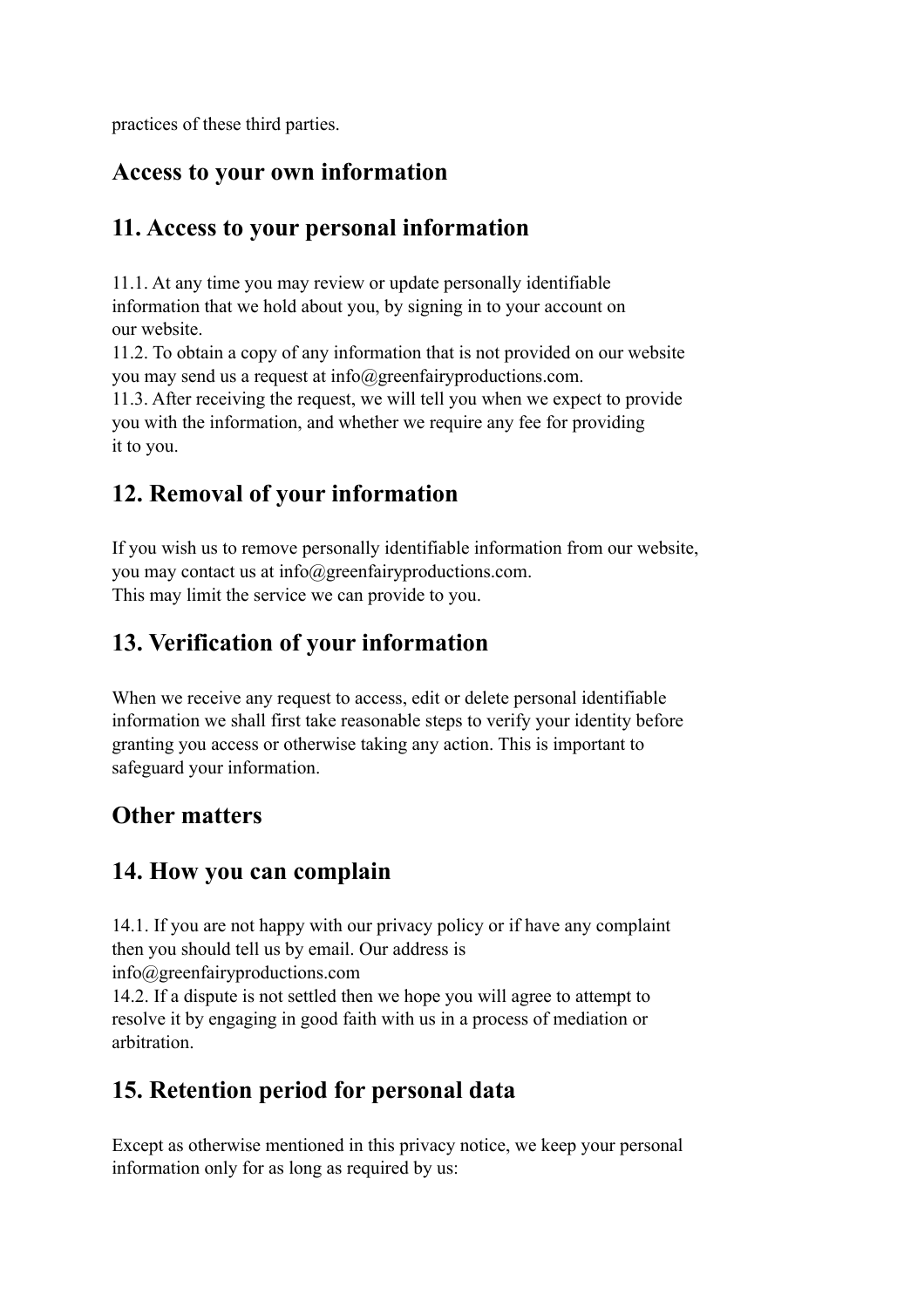practices of these third parties.

#### **Access to your own information**

### **11. Access to your personal information**

11.1. At any time you may review or update personally identifiable information that we hold about you, by signing in to your account on our website.

11.2. To obtain a copy of any information that is not provided on our website you may send us a request at info@greenfairyproductions.com.

11.3. After receiving the request, we will tell you when we expect to provide you with the information, and whether we require any fee for providing it to you.

## **12. Removal of your information**

If you wish us to remove personally identifiable information from our website, you may contact us at info@greenfairyproductions.com. This may limit the service we can provide to you.

## **13. Verification of your information**

When we receive any request to access, edit or delete personal identifiable information we shall first take reasonable steps to verify your identity before granting you access or otherwise taking any action. This is important to safeguard your information.

## **Other matters**

### **14. How you can complain**

14.1. If you are not happy with our privacy policy or if have any complaint then you should tell us by email. Our address is

info@greenfairyproductions.com

14.2. If a dispute is not settled then we hope you will agree to attempt to resolve it by engaging in good faith with us in a process of mediation or arbitration.

## **15. Retention period for personal data**

Except as otherwise mentioned in this privacy notice, we keep your personal information only for as long as required by us: